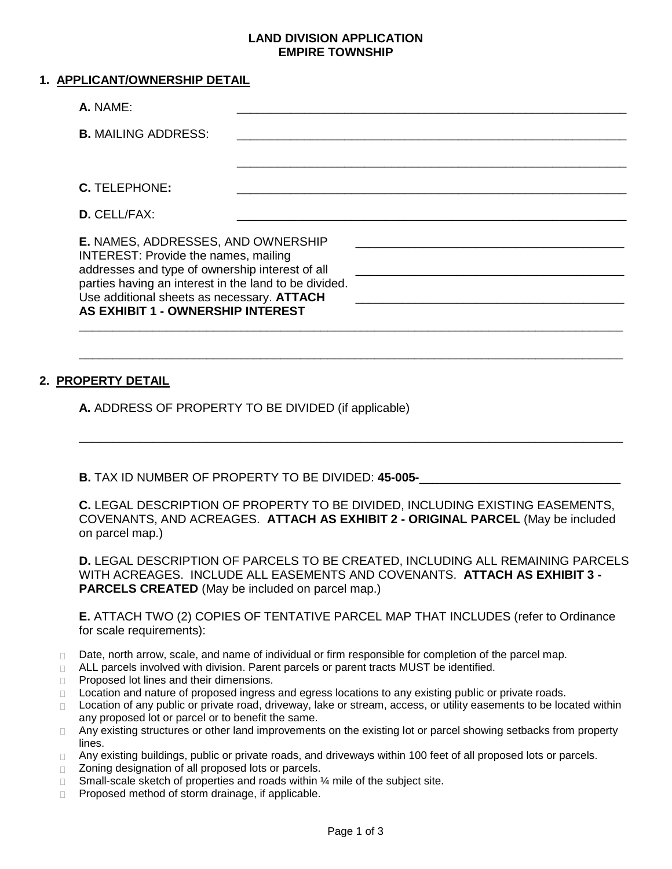## **LAND DIVISION APPLICATION EMPIRE TOWNSHIP**

| 1. APPLICANT/OWNERSHIP DETAIL                                                                                                                                                                                                                                                    |  |  |
|----------------------------------------------------------------------------------------------------------------------------------------------------------------------------------------------------------------------------------------------------------------------------------|--|--|
| A. NAME:                                                                                                                                                                                                                                                                         |  |  |
| <b>B.</b> MAILING ADDRESS:                                                                                                                                                                                                                                                       |  |  |
|                                                                                                                                                                                                                                                                                  |  |  |
| C. TELEPHONE:                                                                                                                                                                                                                                                                    |  |  |
| <b>D.</b> CELL/FAX:                                                                                                                                                                                                                                                              |  |  |
| E. NAMES, ADDRESSES, AND OWNERSHIP<br>INTEREST: Provide the names, mailing<br>addresses and type of ownership interest of all<br>parties having an interest in the land to be divided.<br>Use additional sheets as necessary. ATTACH<br><b>AS EXHIBIT 1 - OWNERSHIP INTEREST</b> |  |  |

## **2. PROPERTY DETAIL**

**A.** ADDRESS OF PROPERTY TO BE DIVIDED (if applicable)

**B.** TAX ID NUMBER OF PROPERTY TO BE DIVIDED: 45-005-

**C.** LEGAL DESCRIPTION OF PROPERTY TO BE DIVIDED, INCLUDING EXISTING EASEMENTS, COVENANTS, AND ACREAGES. **ATTACH AS EXHIBIT 2 - ORIGINAL PARCEL** (May be included on parcel map.)

\_\_\_\_\_\_\_\_\_\_\_\_\_\_\_\_\_\_\_\_\_\_\_\_\_\_\_\_\_\_\_\_\_\_\_\_\_\_\_\_\_\_\_\_\_\_\_\_\_\_\_\_\_\_\_\_\_\_\_\_\_\_\_\_\_\_\_\_\_\_\_\_\_\_\_\_\_\_\_\_\_

\_\_\_\_\_\_\_\_\_\_\_\_\_\_\_\_\_\_\_\_\_\_\_\_\_\_\_\_\_\_\_\_\_\_\_\_\_\_\_\_\_\_\_\_\_\_\_\_\_\_\_\_\_\_\_\_\_\_\_\_\_\_\_\_\_\_\_\_\_\_\_\_\_\_\_\_\_\_\_\_\_

\_\_\_\_\_\_\_\_\_\_\_\_\_\_\_\_\_\_\_\_\_\_\_\_\_\_\_\_\_\_\_\_\_\_\_\_\_\_\_\_\_\_\_\_\_\_\_\_\_\_\_\_\_\_\_\_\_\_\_\_\_\_\_\_\_\_\_\_\_\_\_\_\_\_\_\_\_\_\_\_\_

**D.** LEGAL DESCRIPTION OF PARCELS TO BE CREATED, INCLUDING ALL REMAINING PARCELS WITH ACREAGES. INCLUDE ALL EASEMENTS AND COVENANTS. **ATTACH AS EXHIBIT 3 - PARCELS CREATED** (May be included on parcel map.)

**E.** ATTACH TWO (2) COPIES OF TENTATIVE PARCEL MAP THAT INCLUDES (refer to Ordinance for scale requirements):

- Date, north arrow, scale, and name of individual or firm responsible for completion of the parcel map.  $\Box$
- ALL parcels involved with division. Parent parcels or parent tracts MUST be identified.  $\Box$
- Proposed lot lines and their dimensions.  $\Box$
- □ Location and nature of proposed ingress and egress locations to any existing public or private roads.
- Location of any public or private road, driveway, lake or stream, access, or utility easements to be located within  $\Box$ any proposed lot or parcel or to benefit the same.
- Any existing structures or other land improvements on the existing lot or parcel showing setbacks from property  $\Box$ lines.
- Any existing buildings, public or private roads, and driveways within 100 feet of all proposed lots or parcels.  $\Box$
- Zoning designation of all proposed lots or parcels.  $\Box$
- Small-scale sketch of properties and roads within ¼ mile of the subject site.  $\Box$
- Proposed method of storm drainage, if applicable.  $\Box$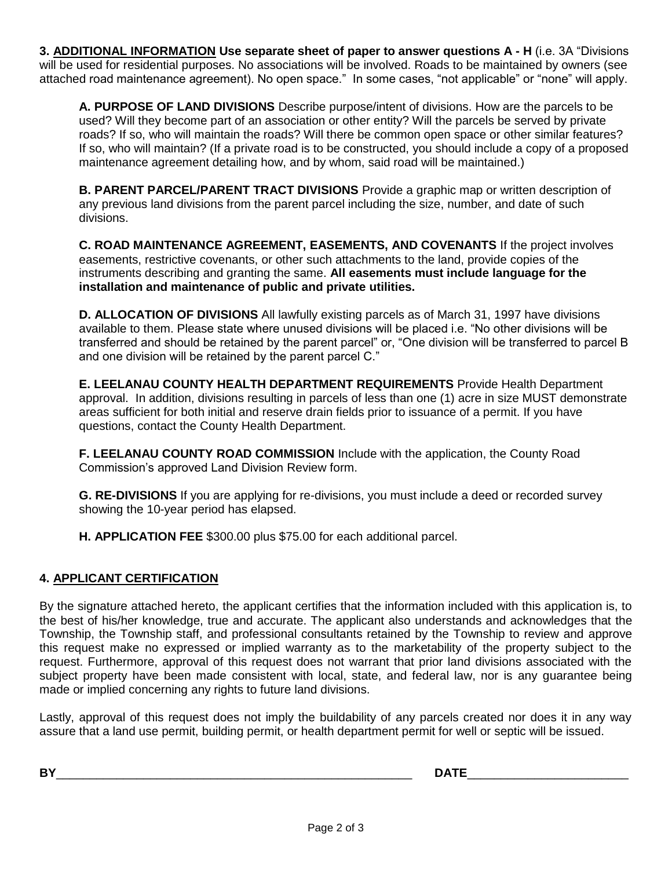**3. ADDITIONAL INFORMATION Use separate sheet of paper to answer questions A - H** (i.e. 3A "Divisions will be used for residential purposes. No associations will be involved. Roads to be maintained by owners (see attached road maintenance agreement). No open space." In some cases, "not applicable" or "none" will apply.

**A. PURPOSE OF LAND DIVISIONS** Describe purpose/intent of divisions. How are the parcels to be used? Will they become part of an association or other entity? Will the parcels be served by private roads? If so, who will maintain the roads? Will there be common open space or other similar features? If so, who will maintain? (If a private road is to be constructed, you should include a copy of a proposed maintenance agreement detailing how, and by whom, said road will be maintained.)

**B. PARENT PARCEL/PARENT TRACT DIVISIONS** Provide a graphic map or written description of any previous land divisions from the parent parcel including the size, number, and date of such divisions.

**C. ROAD MAINTENANCE AGREEMENT, EASEMENTS, AND COVENANTS** If the project involves easements, restrictive covenants, or other such attachments to the land, provide copies of the instruments describing and granting the same. **All easements must include language for the installation and maintenance of public and private utilities.** 

**D. ALLOCATION OF DIVISIONS** All lawfully existing parcels as of March 31, 1997 have divisions available to them. Please state where unused divisions will be placed i.e. "No other divisions will be transferred and should be retained by the parent parcel" or, "One division will be transferred to parcel B and one division will be retained by the parent parcel C."

**E. LEELANAU COUNTY HEALTH DEPARTMENT REQUIREMENTS** Provide Health Department approval. In addition, divisions resulting in parcels of less than one (1) acre in size MUST demonstrate areas sufficient for both initial and reserve drain fields prior to issuance of a permit. If you have questions, contact the County Health Department.

**F. LEELANAU COUNTY ROAD COMMISSION** Include with the application, the County Road Commission's approved Land Division Review form.

**G. RE-DIVISIONS** If you are applying for re-divisions, you must include a deed or recorded survey showing the 10-year period has elapsed.

**H. APPLICATION FEE** \$300.00 plus \$75.00 for each additional parcel.

## **4. APPLICANT CERTIFICATION**

By the signature attached hereto, the applicant certifies that the information included with this application is, to the best of his/her knowledge, true and accurate. The applicant also understands and acknowledges that the Township, the Township staff, and professional consultants retained by the Township to review and approve this request make no expressed or implied warranty as to the marketability of the property subject to the request. Furthermore, approval of this request does not warrant that prior land divisions associated with the subject property have been made consistent with local, state, and federal law, nor is any guarantee being made or implied concerning any rights to future land divisions.

Lastly, approval of this request does not imply the buildability of any parcels created nor does it in any way assure that a land use permit, building permit, or health department permit for well or septic will be issued.